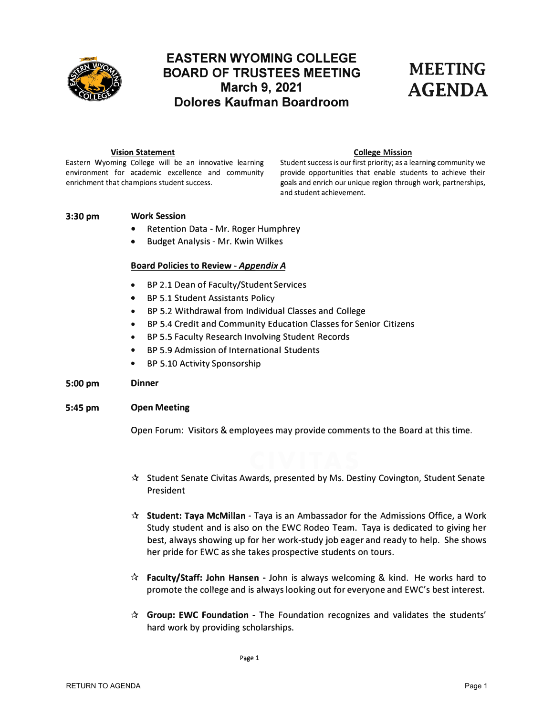<span id="page-0-0"></span>

# **EASTERN WYOMING COLLEGE BOARD OF TRUSTEES MEETING MEETING**<br>March 9, 2021 **AGENDA March 9, 2021 AGENDA Dolores Kaufman Boardroom**

**Vision Statement**<br>Eastern Wyoming College will be an innovative learning Student success is our first priority; as a le

Student success is our first priority; as a learning community we environment for academic excellence and community provide opportunities that enable students to achieve their enrichment that champions student success. The space of goals and enrich our unique region through work, partnerships, and student achievement.

# **3:30pm Work Session**

- Retention Data Mr. Roger Humphrey
- Budget Analysis Mr. Kwin Wilkes

# **Board Policies to Review -** *Appendix A*

- BP 2.1 Dean of Faculty/Student Services
- BP 5.1 Student Assistants Policy
- BP 5.2 Withdrawal from Individual Classes and College
- BP 5.4 Credit and Community Education Classes for Senior Citizens
- BP 5.5 Faculty Research Involving Student Records
- BP 5.9 Admission of International Students
- BP 5.10 Activity Sponsorship

# **5:00pm Dinner**

# **5:45pm Open Meeting**

Open Forum: Visitors & employees may provide comments to the Board at this time.

- $\mathbf{\hat{x}}$  Student Senate Civitas Awards, presented by Ms. Destiny Covington, Student Senate President
- \* **Student: Taya McMillan -** Taya is an Ambassador for the Admissions Office, a Work Study student and is also on the EWC Rodeo Team. Taya is dedicated to giving her best, always showing up for her work-study job eager and ready to help. She shows her pride for EWC as she takes prospective students on tours.
- \* **Faculty/Staff: John Hansen -** John is always welcoming & kind. He works hard to promote the college and is always looking out for everyone and EWC's best interest.
- \* **Group: EWC Foundation -** The Foundation recognizes and validates the students' hard work by providing scholarships.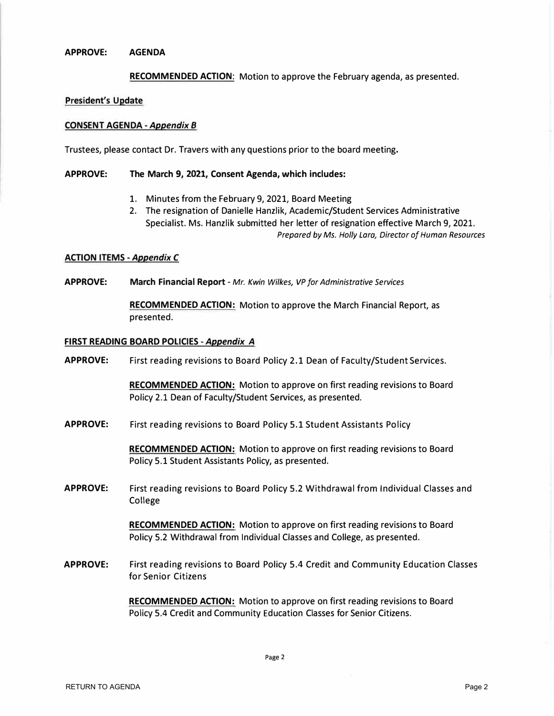# **APPROVE: AGENDA**

**RECOMMENDED ACTION:** Motion to approve the February agenda, as presented.

## **President's Update**

# **CONSENT AGENDA -***Appendix B*

Trustees, please contact Dr. Travers with any questions prior to the board meeting.

# **APPROVE: The March 9, 2021, Consent Agenda, which includes:**

- 1. Minutes from the February 9, 2021, Board Meeting
- 2. The resignation of Danielle Hanzlik, Academic/Student Services Administrative Specialist. Ms. Hanzlik submitted her letter of resignation effective March 9, 2021. *Prepared by Ms. Holly Lara, Director of Human Resources*

## **ACTION ITEMS -***Appendix C*

**APPROVE: March Financial Report** - *Mr. Kwin Wilkes, VP for Administrative Services*

**RECOMMENDED ACTION:** Motion to approve the March Financial Report, as presented.

# **FIRST READING BOARD POLICIES** *-Appendix A*

**APPROVE:** First reading revisions to Board Policy 2.1 Dean of Faculty/Student Services.

**RECOMMENDED ACTION:** Motion to approve on first reading revisions to Board Policy 2.1 Dean of Faculty/Student Services, as presented.

**APPROVE:** First reading revisions to Board Policy 5.1 Student Assistants Policy

**RECOMMENDED ACTION:** Motion to approve on first reading revisions to Board Policy 5.1 Student Assistants Policy, as presented.

**APPROVE:** First reading revisions to Board Policy 5.2 Withdrawal from Individual Classes and College

> **RECOMMENDED ACTION:** Motion to approve on first reading revisions to Board Policy 5.2 Withdrawal from Individual Classes and College, as presented.

**APPROVE:** First reading revisions to Board Policy 5.4 Credit and Community Education Classes for Senior Citizens

> **RECOMMENDED ACTION:** Motion to approve on first reading revisions to Board Policy 5.4 Credit and Community Education Classes for Senior Citizens.